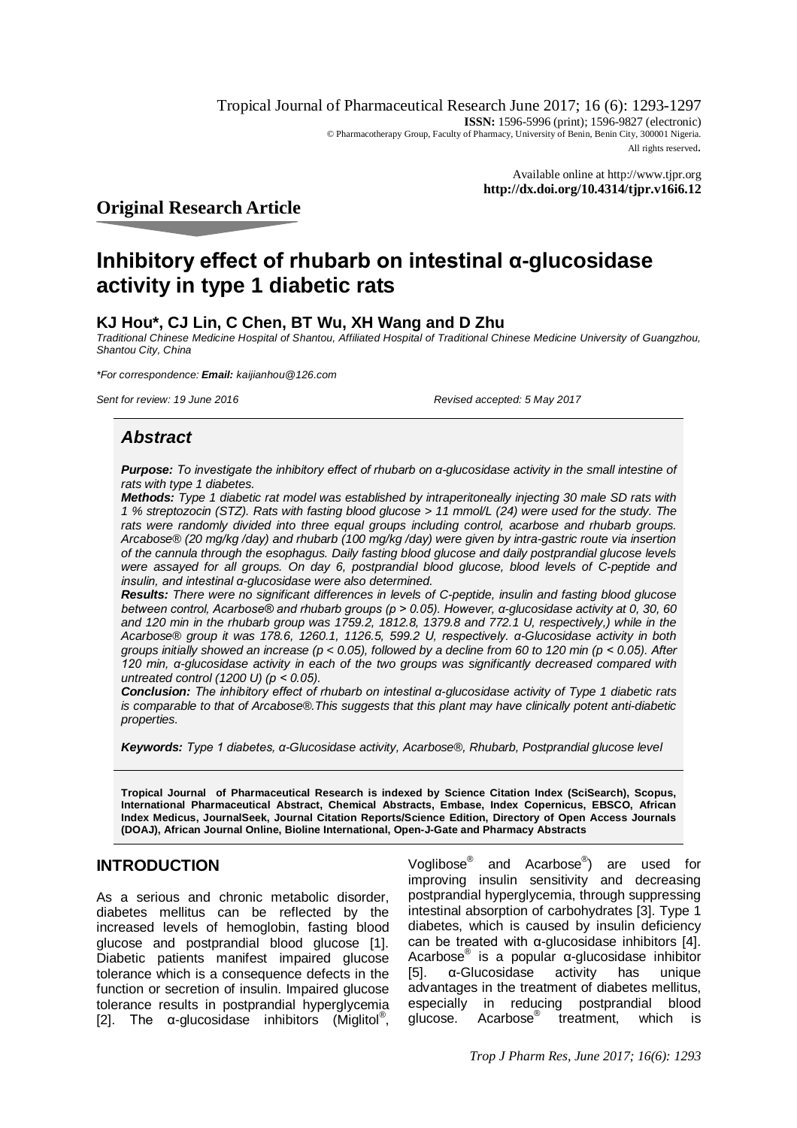Tropical Journal of Pharmaceutical Research June 2017; 16 (6): 1293-1297 **ISSN:** 1596-5996 (print); 1596-9827 (electronic) © Pharmacotherapy Group, Faculty of Pharmacy, University of Benin, Benin City, 300001 Nigeria. All rights reserved.

> Available online at <http://www.tjpr.org> **<http://dx.doi.org/10.4314/tjpr.v16i6.12>**

**Original Research Article**

# **Inhibitory effect of rhubarb on intestinal α-glucosidase activity in type 1 diabetic rats**

# **KJ Hou\*, CJ Lin, C Chen, BT Wu, XH Wang and D Zhu**

*Traditional Chinese Medicine Hospital of Shantou, Affiliated Hospital of Traditional Chinese Medicine University of Guangzhou, Shantou City, China*

*\*For correspondence: Email: [kaijianhou@126.com](mailto:kaijianhou@126.com)*

*Sent for review: 19 June 2016 Revised accepted: 5 May 2017*

# *Abstract*

*Purpose: To investigate the inhibitory effect of rhubarb on α-glucosidase activity in the small intestine of rats with type 1 diabetes.* 

*Methods: Type 1 diabetic rat model was established by intraperitoneally injecting 30 male SD rats with 1 % streptozocin (STZ). Rats with fasting blood glucose > 11 mmol/L (24) were used for the study. The*  rats were randomly divided into three equal groups including control, acarbose and rhubarb groups. *Arcabose® (20 mg/kg /day) and rhubarb (100 mg/kg /day) were given by intra-gastric route via insertion of the cannula through the esophagus. Daily fasting blood glucose and daily postprandial glucose levels were assayed for all groups. On day 6, postprandial blood glucose, blood levels of C-peptide and insulin, and intestinal α-glucosidase were also determined.* 

*Results: There were no significant differences in levels of C-peptide, insulin and fasting blood glucose between control, Acarbose® and rhubarb groups (p > 0.05). However, α-glucosidase activity at 0, 30, 60 and 120 min in the rhubarb group was 1759.2, 1812.8, 1379.8 and 772.1 U, respectively,) while in the Acarbose® group it was 178.6, 1260.1, 1126.5, 599.2 U, respectively. α-Glucosidase activity in both groups initially showed an increase (p < 0.05), followed by a decline from 60 to 120 min (p < 0.05). After 120 min, α-glucosidase activity in each of the two groups was significantly decreased compared with untreated control (1200 U) (p ˂ 0.05).* 

*Conclusion: The inhibitory effect of rhubarb on intestinal α-glucosidase activity of Type 1 diabetic rats is comparable to that of Arcabose®.This suggests that this plant may have clinically potent anti-diabetic properties.*

*Keywords: Type 1 diabetes, α-Glucosidase activity, Acarbose®, Rhubarb, Postprandial glucose level*

**Tropical Journal of Pharmaceutical Research is indexed by Science Citation Index (SciSearch), Scopus, International Pharmaceutical Abstract, Chemical Abstracts, Embase, Index Copernicus, EBSCO, African Index Medicus, JournalSeek, Journal Citation Reports/Science Edition, Directory of Open Access Journals (DOAJ), African Journal Online, Bioline International, Open-J-Gate and Pharmacy Abstracts**

# **INTRODUCTION**

As a serious and chronic metabolic disorder, diabetes mellitus can be reflected by the increased levels of hemoglobin, fasting blood glucose and postprandial blood glucose [1]. Diabetic patients manifest impaired glucose tolerance which is a consequence defects in the function or secretion of insulin. Impaired glucose tolerance results in postprandial hyperglycemia [2]. The  $\alpha$ -glucosidase inhibitors (Miglitol®,

Voalibose® and Acarbose® ) are used for improving insulin sensitivity and decreasing postprandial hyperglycemia, through suppressing intestinal absorption of carbohydrates [3]. Type 1 diabetes, which is caused by insulin deficiency can be treated with α-glucosidase inhibitors [4]. Acarbose® is a popular α-glucosidase inhibitor [5]. α-Glucosidase activity has unique advantages in the treatment of diabetes mellitus, especially in reducing postprandial blood glucose. Acarbose® treatment, which is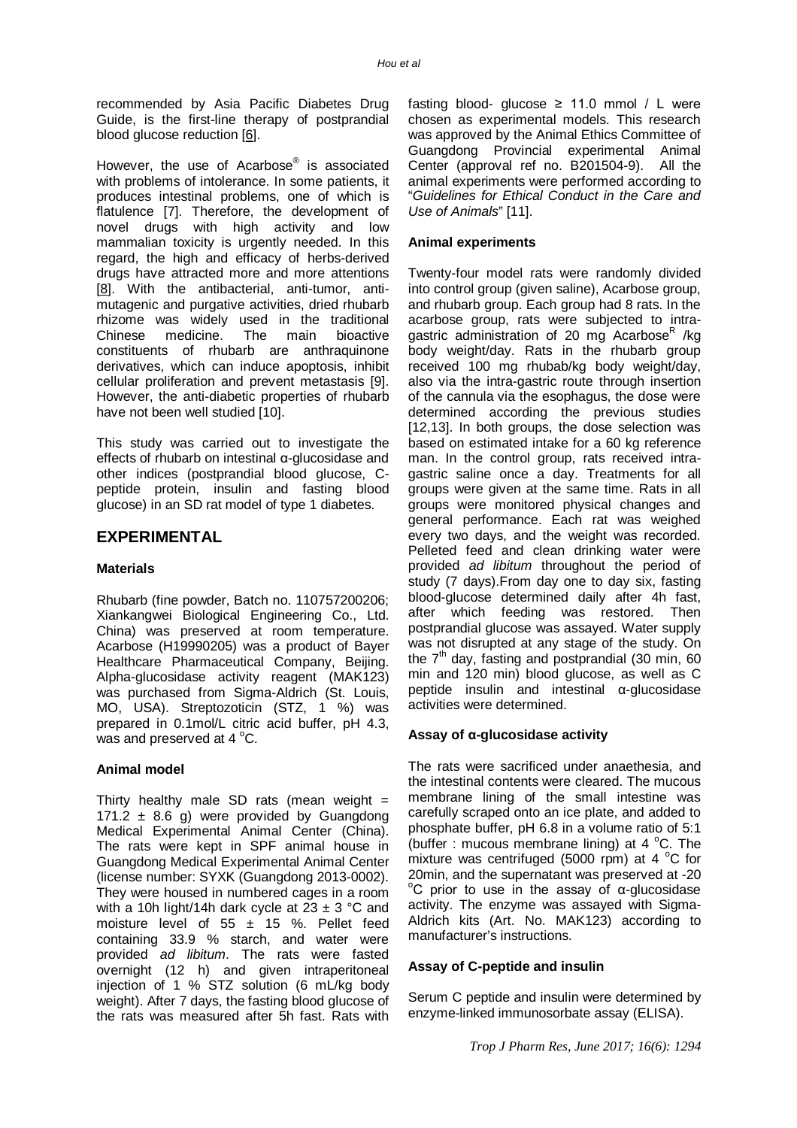recommended by Asia Pacific Diabetes Drug Guide, is the first-line therapy of postprandial blood glucose reduction [6].

However, the use of Acarbose<sup>®</sup> is associated with problems of intolerance. In some patients, it produces intestinal problems, one of which is flatulence [7]. Therefore, the development of novel drugs with high activity and low mammalian toxicity is urgently needed. In this regard, the high and efficacy of herbs-derived drugs have attracted more and more attentions [8]. With the antibacterial, anti-tumor, antimutagenic and purgative activities, dried rhubarb rhizome was widely used in the traditional<br>Chinese medicine. The main bioactive Chinese medicine. The main bioactive constituents of rhubarb are anthraquinone derivatives, which can induce apoptosis, inhibit cellular proliferation and prevent metastasis [9]. However, the anti-diabetic properties of rhubarb have not been well studied [10].

This study was carried out to investigate the effects of rhubarb on intestinal α-glucosidase and other indices (postprandial blood glucose, Cpeptide protein, insulin and fasting blood glucose) in an SD rat model of type 1 diabetes.

# **EXPERIMENTAL**

### **Materials**

Rhubarb (fine powder, Batch no. 110757200206; Xiankangwei Biological Engineering Co., Ltd. China) was preserved at room temperature. Acarbose (H19990205) was a product of Bayer Healthcare Pharmaceutical Company, Beijing. Alpha-glucosidase activity reagent (MAK123) was purchased from Sigma-Aldrich (St. Louis, MO, USA). Streptozoticin (STZ, 1 %) was prepared in 0.1mol/L citric acid buffer, pH 4.3, was and preserved at  $4^{\circ}$ C.

### **Animal model**

Thirty healthy male SD rats (mean weight  $=$ 171.2  $\pm$  8.6 g) were provided by Guangdong Medical Experimental Animal Center (China). The rats were kept in SPF animal house in Guangdong Medical Experimental Animal Center (license number: SYXK (Guangdong 2013-0002). They were housed in numbered cages in a room with a 10h light/14h dark cycle at  $23 \pm 3$  °C and moisture level of 55  $\pm$  15 %. Pellet feed containing 33.9 % starch, and water were provided *ad libitum*. The rats were fasted overnight (12 h) and given intraperitoneal injection of 1 % STZ solution (6 mL/kg body weight). After 7 days, the fasting blood glucose of the rats was measured after 5h fast. Rats with

fasting blood- glucose  $\geq$  11.0 mmol / L were chosen as experimental models. This research was approved by the Animal Ethics Committee of Guangdong Provincial experimental Animal Center (approval ref no. B201504-9). All the animal experiments were performed according to "*Guidelines for Ethical Conduct in the Care and Use of Animals*" [11].

## **Animal experiments**

Twenty-four model rats were randomly divided into control group (given saline), Acarbose group, and rhubarb group. Each group had 8 rats. In the acarbose group, rats were subjected to intragastric administration of 20 mg Acarbose<sup>R</sup> /kg body weight/day. Rats in the rhubarb group received 100 mg rhubab/kg body weight/day, also via the intra-gastric route through insertion of the cannula via the esophagus, the dose were determined according the previous studies [12,13]. In both groups, the dose selection was based on estimated intake for a 60 kg reference man. In the control group, rats received intragastric saline once a day. Treatments for all groups were given at the same time. Rats in all groups were monitored physical changes and general performance. Each rat was weighed every two days, and the weight was recorded. Pelleted feed and clean drinking water were provided *ad libitum* throughout the period of study (7 days).From day one to day six, fasting blood-glucose determined daily after 4h fast, after which feeding was restored. Then postprandial glucose was assayed. Water supply was not disrupted at any stage of the study. On the  $7<sup>th</sup>$  day, fasting and postprandial (30 min, 60 min and 120 min) blood glucose, as well as C peptide insulin and intestinal α-glucosidase activities were determined.

# **Assay of α-glucosidase activity**

The rats were sacrificed under anaethesia, and the intestinal contents were cleared. The mucous membrane lining of the small intestine was carefully scraped onto an ice plate, and added to phosphate buffer, pH 6.8 in a volume ratio of 5:1 (buffer : mucous membrane lining) at 4  $^{\circ}$ C. The mixture was centrifuged (5000 rpm) at 4  $^{\circ}$ C for 20min, and the supernatant was preserved at -20 <sup>o</sup>C prior to use in the assay of  $\alpha$ -glucosidase activity. The enzyme was assayed with Sigma-Aldrich kits (Art. No. MAK123) according to manufacturer's instructions.

### **Assay of C-peptide and insulin**

Serum C peptide and insulin were determined by enzyme-linked immunosorbate assay (ELISA).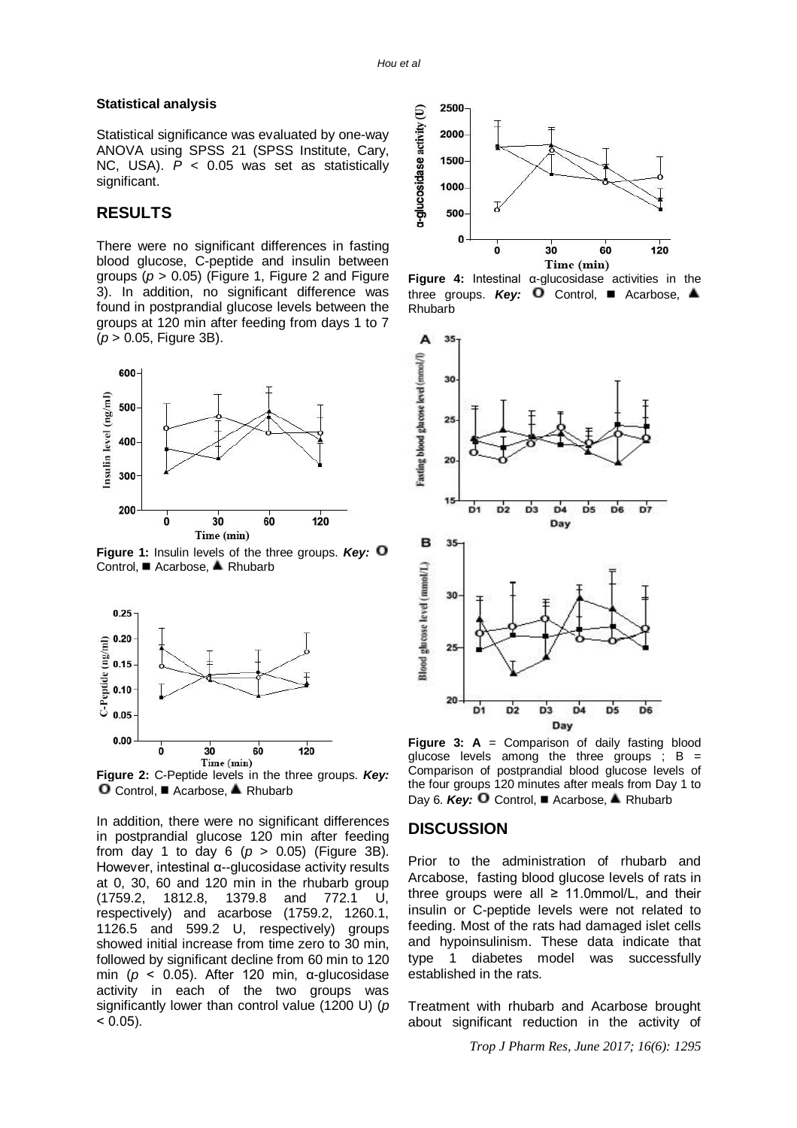#### **Statistical analysis**

Statistical significance was evaluated by one-way ANOVA using SPSS 21 (SPSS Institute, Cary, NC, USA). *P* < 0.05 was set as statistically significant.

## **RESULTS**

There were no significant differences in fasting blood glucose, C-peptide and insulin between groups (*p* > 0.05) (Figure 1, Figure 2 and Figure 3). In addition, no significant difference was found in postprandial glucose levels between the groups at 120 min after feeding from days 1 to 7 (*p* > 0.05, Figure 3B).



**Figure 1:** Insulin levels of the three groups. *Key:* Control, ■ Acarbose, ▲ Rhubarb



**Figure 2:** C-Peptide levels in the three groups. *Key:*  $O$  Control, Acarbose, A Rhubarb

In addition, there were no significant differences in postprandial glucose 120 min after feeding from day 1 to day 6  $(p > 0.05)$  (Figure 3B). However, intestinal α--glucosidase activity results at 0, 30, 60 and 120 min in the rhubarb group (1759.2, 1812.8, 1379.8 and 772.1 U, respectively) and acarbose (1759.2, 1260.1, 1126.5 and 599.2 U, respectively) groups showed initial increase from time zero to 30 min, followed by significant decline from 60 min to 120 min (*p* ˂ 0.05). After 120 min, α-glucosidase activity in each of the two groups was significantly lower than control value (1200 U) (*p*  $< 0.05$ ).



**Figure 4:** Intestinal α-glucosidase activities in the three groups. **Key:**  $\Box$  Control,  $\Box$  Acarbose,  $\triangleq$ Rhubarb



**Figure 3: A** = Comparison of daily fasting blood glucose levels among the three groups  $\cdot$  B = Comparison of postprandial blood glucose levels of the four groups 120 minutes after meals from Day 1 to Day 6. **Key: □** Control, **■** Acarbose, ▲ Rhubarb

# **DISCUSSION**

Prior to the administration of rhubarb and Arcabose, fasting blood glucose levels of rats in three groups were all  $\geq$  11.0mmol/L, and their insulin or C-peptide levels were not related to feeding. Most of the rats had damaged islet cells and hypoinsulinism. These data indicate that type 1 diabetes model was successfully established in the rats.

Treatment with rhubarb and Acarbose brought about significant reduction in the activity of

*Trop J Pharm Res, June 2017; 16(6): 1295*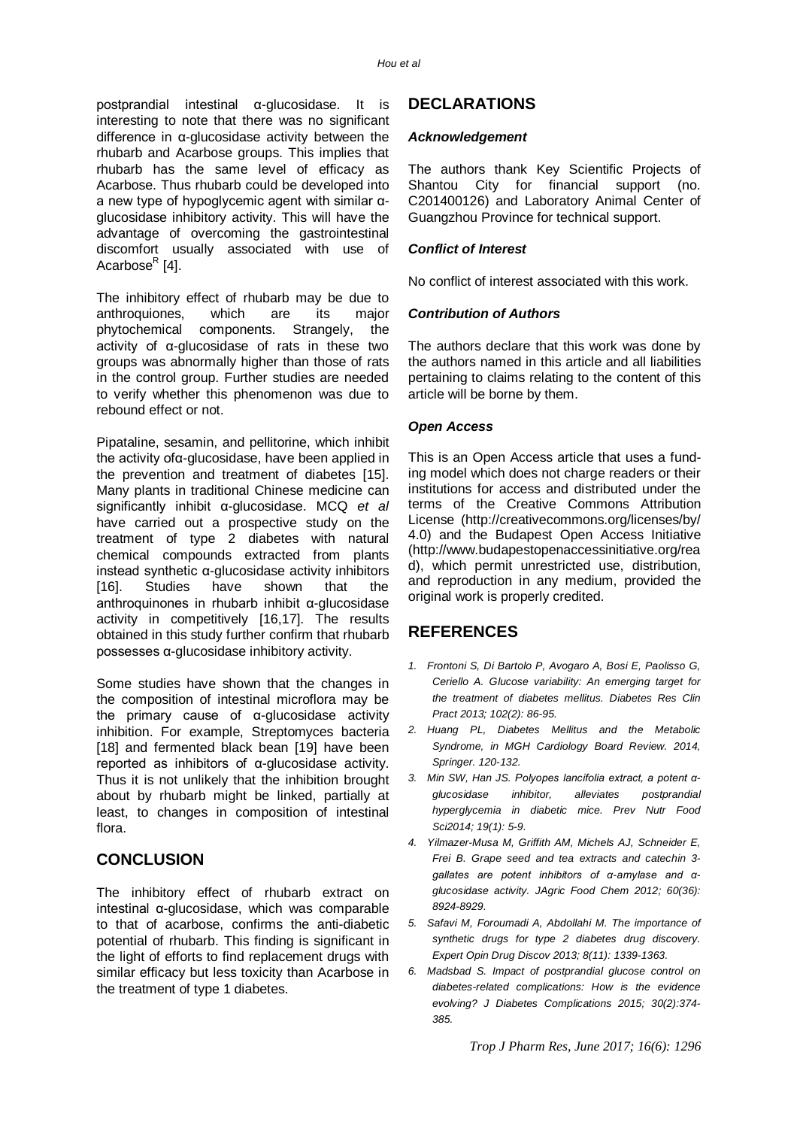postprandial intestinal α-glucosidase. It is interesting to note that there was no significant difference in α-glucosidase activity between the rhubarb and Acarbose groups. This implies that rhubarb has the same level of efficacy as Acarbose. Thus rhubarb could be developed into a new type of hypoglycemic agent with similar αglucosidase inhibitory activity. This will have the advantage of overcoming the gastrointestinal discomfort usually associated with use of Acarbose<sup>R</sup> [4].

The inhibitory effect of rhubarb may be due to anthroquiones, which are its major phytochemical components. Strangely, the activity of α-glucosidase of rats in these two groups was abnormally higher than those of rats in the control group. Further studies are needed to verify whether this phenomenon was due to rebound effect or not.

Pipataline, sesamin, and pellitorine, which inhibit the activity ofα-glucosidase, have been applied in the prevention and treatment of diabetes [15]. Many plants in traditional Chinese medicine can significantly inhibit α-glucosidase. MCQ *et al* have carried out a prospective study on the treatment of type 2 diabetes with natural chemical compounds extracted from plants instead synthetic α-glucosidase activity inhibitors [16]. Studies have shown that the anthroquinones in rhubarb inhibit α-glucosidase activity in competitively [16,17]. The results obtained in this study further confirm that rhubarb possesses α-glucosidase inhibitory activity.

Some studies have shown that the changes in the composition of intestinal microflora may be the primary cause of α-glucosidase activity inhibition. For example, Streptomyces bacteria [18] and fermented black bean [19] have been reported as inhibitors of α-glucosidase activity. Thus it is not unlikely that the inhibition brought about by rhubarb might be linked, partially at least, to changes in composition of intestinal flora.

# **CONCLUSION**

The inhibitory effect of rhubarb extract on intestinal α-glucosidase, which was comparable to that of acarbose, confirms the anti-diabetic potential of rhubarb. This finding is significant in the light of efforts to find replacement drugs with similar efficacy but less toxicity than Acarbose in the treatment of type 1 diabetes.

# **DECLARATIONS**

### *Acknowledgement*

The authors thank Key Scientific Projects of Shantou City for financial support (no. C201400126) and Laboratory Animal Center of Guangzhou Province for technical support.

# *Conflict of Interest*

No conflict of interest associated with this work.

# *Contribution of Authors*

The authors declare that this work was done by the authors named in this article and all liabilities pertaining to claims relating to the content of this article will be borne by them.

### *Open Access*

This is an Open Access article that uses a funding model which does not charge readers or their institutions for access and distributed under the terms of the Creative Commons Attribution License (<http://creativecommons.org/licenses/by/> 4.0) and the Budapest Open Access Initiative [\(http://www.budapestopenaccessinitiative.org/rea](http://www.budapestopenaccessinitiative.org/rea) d), which permit unrestricted use, distribution, and reproduction in any medium, provided the original work is properly credited.

# **REFERENCES**

- *1. Frontoni S, Di Bartolo P, Avogaro A, Bosi E, Paolisso G, Ceriello A. Glucose variability: An emerging target for the treatment of diabetes mellitus. Diabetes Res Clin Pract 2013; 102(2): 86-95.*
- *2. Huang PL, Diabetes Mellitus and the Metabolic Syndrome, in MGH Cardiology Board Review. 2014, Springer. 120-132.*
- *3. Min SW, Han JS. Polyopes lancifolia extract, a potent αglucosidase inhibitor, alleviates postprandial hyperglycemia in diabetic mice. Prev Nutr Food Sci2014; 19(1): 5-9.*
- *4. Yilmazer-Musa M, Griffith AM, Michels AJ, Schneider E, Frei B. Grape seed and tea extracts and catechin 3 gallates are potent inhibitors of α-amylase and αglucosidase activity. JAgric Food Chem 2012; 60(36): 8924-8929.*
- *5. Safavi M, Foroumadi A, Abdollahi M. The importance of synthetic drugs for type 2 diabetes drug discovery. Expert Opin Drug Discov 2013; 8(11): 1339-1363.*
- *6. Madsbad S. Impact of postprandial glucose control on diabetes-related complications: How is the evidence evolving? J Diabetes Complications 2015; 30(2):374- 385.*

*Trop J Pharm Res, June 2017; 16(6): 1296*